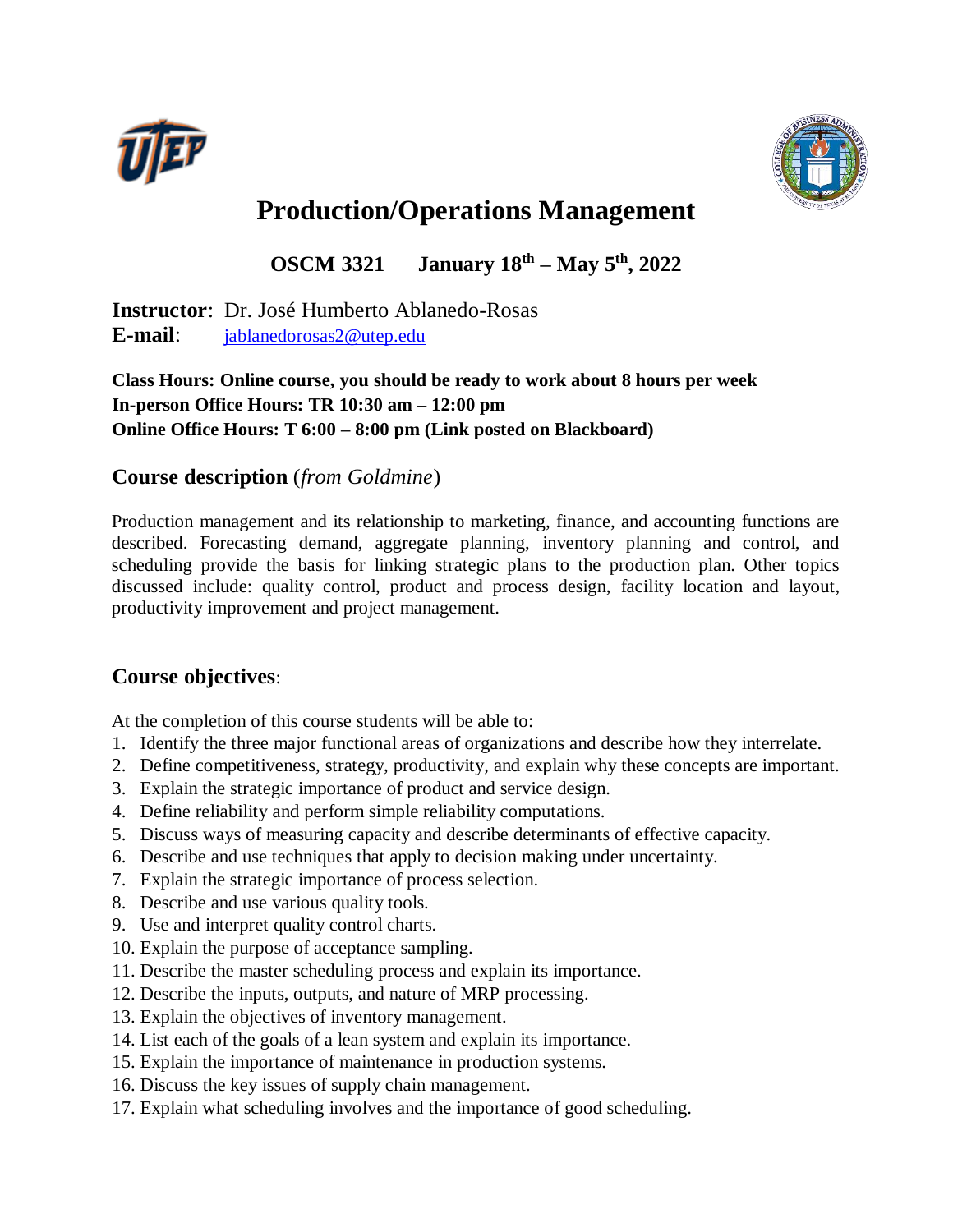



# **Production/Operations Management**

**OSCM 3321 January 18th – May 5th , 2022**

**Instructor**: Dr. José Humberto Ablanedo-Rosas **E-mail**: [jablanedorosas2@utep.edu](mailto:jablanedorosas2@utep.edu)

#### **Class Hours: Online course, you should be ready to work about 8 hours per week In-person Office Hours: TR 10:30 am – 12:00 pm Online Office Hours: T 6:00 – 8:00 pm (Link posted on Blackboard)**

## **Course description** (*from Goldmine*)

Production management and its relationship to marketing, finance, and accounting functions are described. Forecasting demand, aggregate planning, inventory planning and control, and scheduling provide the basis for linking strategic plans to the production plan. Other topics discussed include: quality control, product and process design, facility location and layout, productivity improvement and project management.

#### **Course objectives**:

At the completion of this course students will be able to:

- 1. Identify the three major functional areas of organizations and describe how they interrelate.
- 2. Define competitiveness, strategy, productivity, and explain why these concepts are important.
- 3. Explain the strategic importance of product and service design.
- 4. Define reliability and perform simple reliability computations.
- 5. Discuss ways of measuring capacity and describe determinants of effective capacity.
- 6. Describe and use techniques that apply to decision making under uncertainty.
- 7. Explain the strategic importance of process selection.
- 8. Describe and use various quality tools.
- 9. Use and interpret quality control charts.
- 10. Explain the purpose of acceptance sampling.
- 11. Describe the master scheduling process and explain its importance.
- 12. Describe the inputs, outputs, and nature of MRP processing.
- 13. Explain the objectives of inventory management.
- 14. List each of the goals of a lean system and explain its importance.
- 15. Explain the importance of maintenance in production systems.
- 16. Discuss the key issues of supply chain management.
- 17. Explain what scheduling involves and the importance of good scheduling.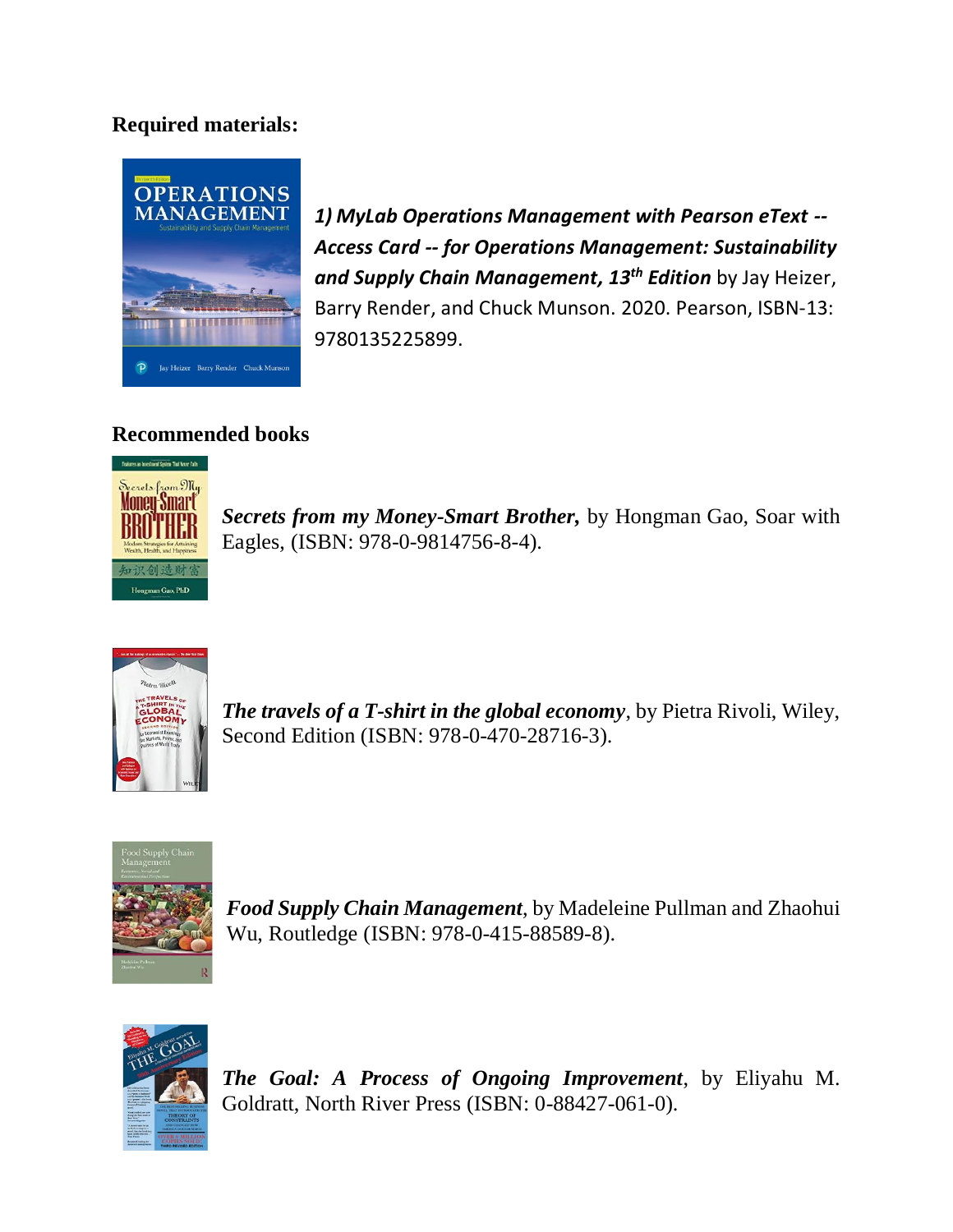## **Required materials:**



*1) MyLab Operations Management with Pearson eText -- Access Card -- for Operations Management: Sustainability and Supply Chain Management, 13 th Edition* by Jay Heizer, Barry Render, and Chuck Munson. 2020. Pearson, ISBN-13: 9780135225899.

## **Recommended books**



*Secrets from my Money-Smart Brother,* by Hongman Gao, Soar with Eagles, (ISBN: 978-0-9814756-8-4).



*The travels of a T-shirt in the global economy*, by Pietra Rivoli, Wiley, Second Edition (ISBN: 978-0-470-28716-3).



*Food Supply Chain Management*, by Madeleine Pullman and Zhaohui Wu, Routledge (ISBN: 978-0-415-88589-8).



*The Goal: A Process of Ongoing Improvement*, by Eliyahu M. Goldratt, North River Press (ISBN: 0-88427-061-0).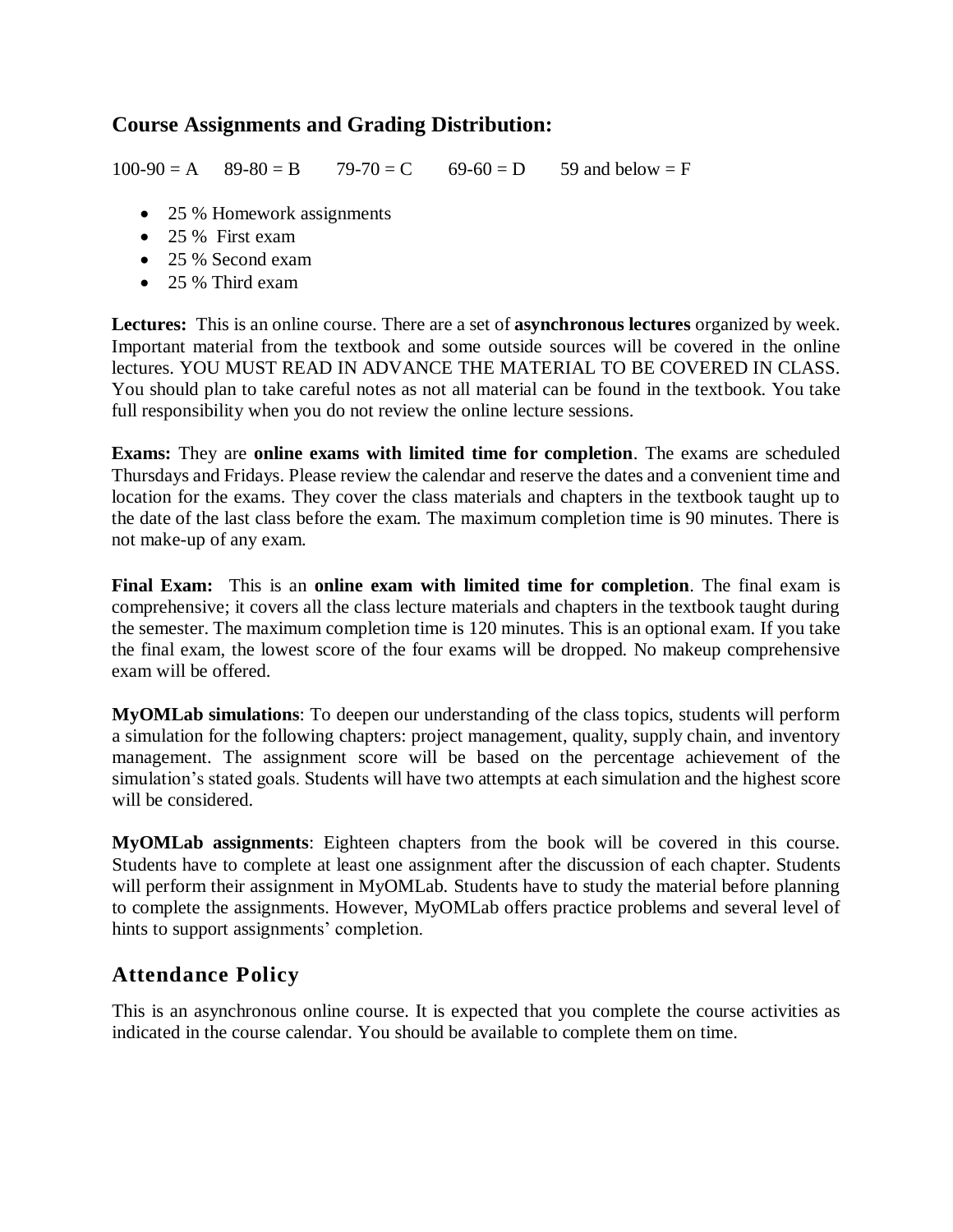#### **Course Assignments and Grading Distribution:**

 $100-90 = A$   $89-80 = B$   $79-70 = C$   $69-60 = D$  59 and below  $= F$ 

- 25 % Homework assignments
- 25 % First exam
- 25 % Second exam
- 25 % Third exam

**Lectures:** This is an online course. There are a set of **asynchronous lectures** organized by week. Important material from the textbook and some outside sources will be covered in the online lectures. YOU MUST READ IN ADVANCE THE MATERIAL TO BE COVERED IN CLASS. You should plan to take careful notes as not all material can be found in the textbook. You take full responsibility when you do not review the online lecture sessions.

**Exams:** They are **online exams with limited time for completion**. The exams are scheduled Thursdays and Fridays. Please review the calendar and reserve the dates and a convenient time and location for the exams. They cover the class materials and chapters in the textbook taught up to the date of the last class before the exam. The maximum completion time is 90 minutes. There is not make-up of any exam.

**Final Exam:** This is an **online exam with limited time for completion**. The final exam is comprehensive; it covers all the class lecture materials and chapters in the textbook taught during the semester. The maximum completion time is 120 minutes. This is an optional exam. If you take the final exam, the lowest score of the four exams will be dropped. No makeup comprehensive exam will be offered.

**MyOMLab simulations**: To deepen our understanding of the class topics, students will perform a simulation for the following chapters: project management, quality, supply chain, and inventory management. The assignment score will be based on the percentage achievement of the simulation's stated goals. Students will have two attempts at each simulation and the highest score will be considered.

**MyOMLab assignments**: Eighteen chapters from the book will be covered in this course. Students have to complete at least one assignment after the discussion of each chapter. Students will perform their assignment in MyOMLab. Students have to study the material before planning to complete the assignments. However, MyOMLab offers practice problems and several level of hints to support assignments' completion.

#### **Attendance Policy**

This is an asynchronous online course. It is expected that you complete the course activities as indicated in the course calendar. You should be available to complete them on time.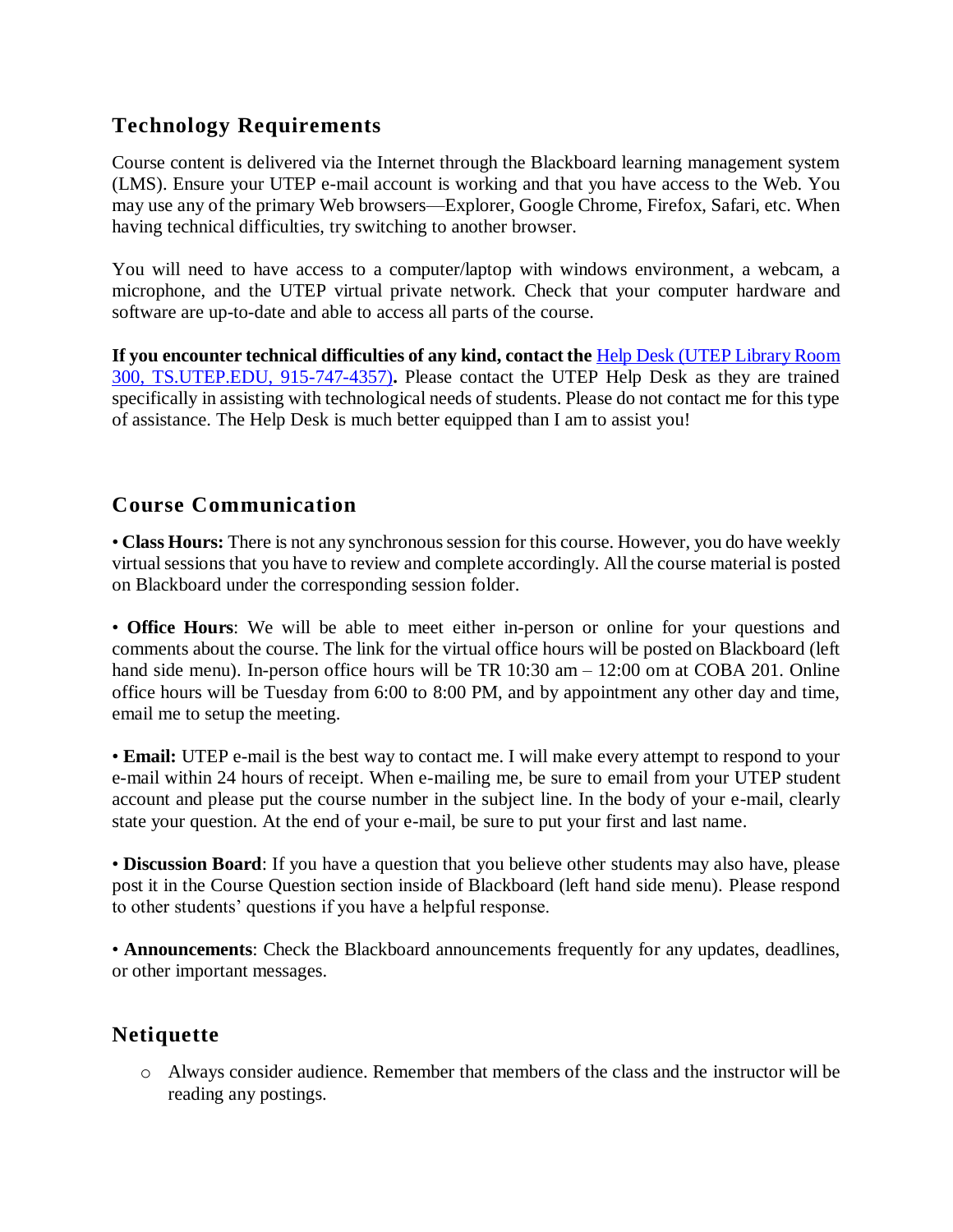## **Technology Requirements**

Course content is delivered via the Internet through the Blackboard learning management system (LMS). Ensure your UTEP e-mail account is working and that you have access to the Web. You may use any of the primary Web browsers—Explorer, Google Chrome, Firefox, Safari, etc. When having technical difficulties, try switching to another browser.

You will need to have access to a computer/laptop with windows environment, a webcam, a microphone, and the UTEP virtual private network. Check that your computer hardware and software are up-to-date and able to access all parts of the course.

**If you encounter technical difficulties of any kind, contact the** [Help Desk](https://www.utep.edu/irp/technologysupport/) (UTEP Library Room 300, TS.UTEP.EDU, 915-747-4357)**.** Please contact the UTEP Help Desk as they are trained specifically in assisting with technological needs of students. Please do not contact me for this type of assistance. The Help Desk is much better equipped than I am to assist you!

#### **Course Communication**

• **Class Hours:** There is not any synchronous session for this course. However, you do have weekly virtual sessions that you have to review and complete accordingly. All the course material is posted on Blackboard under the corresponding session folder.

• **Office Hours**: We will be able to meet either in-person or online for your questions and comments about the course. The link for the virtual office hours will be posted on Blackboard (left hand side menu). In-person office hours will be TR 10:30 am – 12:00 om at COBA 201. Online office hours will be Tuesday from 6:00 to 8:00 PM, and by appointment any other day and time, email me to setup the meeting.

• **Email:** UTEP e-mail is the best way to contact me. I will make every attempt to respond to your e-mail within 24 hours of receipt. When e-mailing me, be sure to email from your UTEP student account and please put the course number in the subject line. In the body of your e-mail, clearly state your question. At the end of your e-mail, be sure to put your first and last name.

• **Discussion Board**: If you have a question that you believe other students may also have, please post it in the Course Question section inside of Blackboard (left hand side menu). Please respond to other students' questions if you have a helpful response.

• **Announcements**: Check the Blackboard announcements frequently for any updates, deadlines, or other important messages.

## **Netiquette**

o Always consider audience. Remember that members of the class and the instructor will be reading any postings.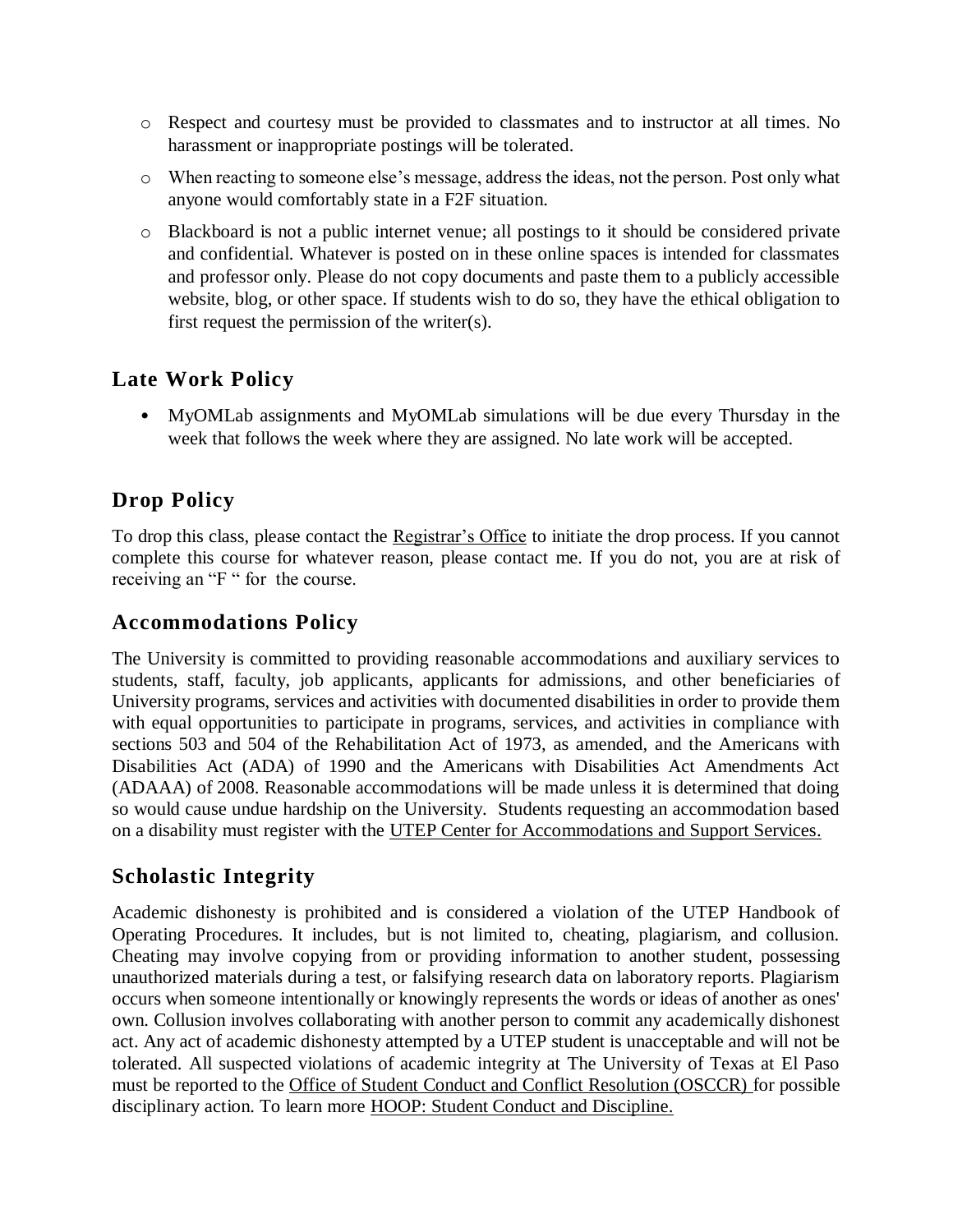- o Respect and courtesy must be provided to classmates and to instructor at all times. No harassment or inappropriate postings will be tolerated.
- o When reacting to someone else's message, address the ideas, not the person. Post only what anyone would comfortably state in a F2F situation.
- o Blackboard is not a public internet venue; all postings to it should be considered private and confidential. Whatever is posted on in these online spaces is intended for classmates and professor only. Please do not copy documents and paste them to a publicly accessible website, blog, or other space. If students wish to do so, they have the ethical obligation to first request the permission of the writer(s).

## **Late Work Policy**

• MyOMLab assignments and MyOMLab simulations will be due every Thursday in the week that follows the week where they are assigned. No late work will be accepted.

## **Drop Policy**

To drop this class, please contact the [Registrar's Office](https://www.utep.edu/student-affairs/registrar/students/registration.html) to initiate the drop process. If you cannot complete this course for whatever reason, please contact me. If you do not, you are at risk of receiving an "F " for the course.

#### **Accommodations Policy**

The University is committed to providing reasonable accommodations and auxiliary services to students, staff, faculty, job applicants, applicants for admissions, and other beneficiaries of University programs, services and activities with documented disabilities in order to provide them with equal opportunities to participate in programs, services, and activities in compliance with sections 503 and 504 of the Rehabilitation Act of 1973, as amended, and the Americans with Disabilities Act (ADA) of 1990 and the Americans with Disabilities Act Amendments Act (ADAAA) of 2008. Reasonable accommodations will be made unless it is determined that doing so would cause undue hardship on the University. Students requesting an accommodation based on a disability must register with the [UTEP Center for Accommodations and Support Services.](https://www.utep.edu/student-affairs/cass/ada-policies/accommodations-for-individuals-with-disabilities%20.html)

## **Scholastic Integrity**

Academic dishonesty is prohibited and is considered a violation of the UTEP Handbook of Operating Procedures. It includes, but is not limited to, cheating, plagiarism, and collusion. Cheating may involve copying from or providing information to another student, possessing unauthorized materials during a test, or falsifying research data on laboratory reports. Plagiarism occurs when someone intentionally or knowingly represents the words or ideas of another as ones' own. Collusion involves collaborating with another person to commit any academically dishonest act. Any act of academic dishonesty attempted by a UTEP student is unacceptable and will not be tolerated. All suspected violations of academic integrity at The University of Texas at El Paso must be reported to the Office of Student Conduct and Conflict Resolution (OSCCR) for possible disciplinary action. To learn more [HOOP: Student Conduct and Discipline.](https://admin.utep.edu/LinkClick.aspx?link=HOOP-Section+II.pdf&tabid=30181&mid=63285)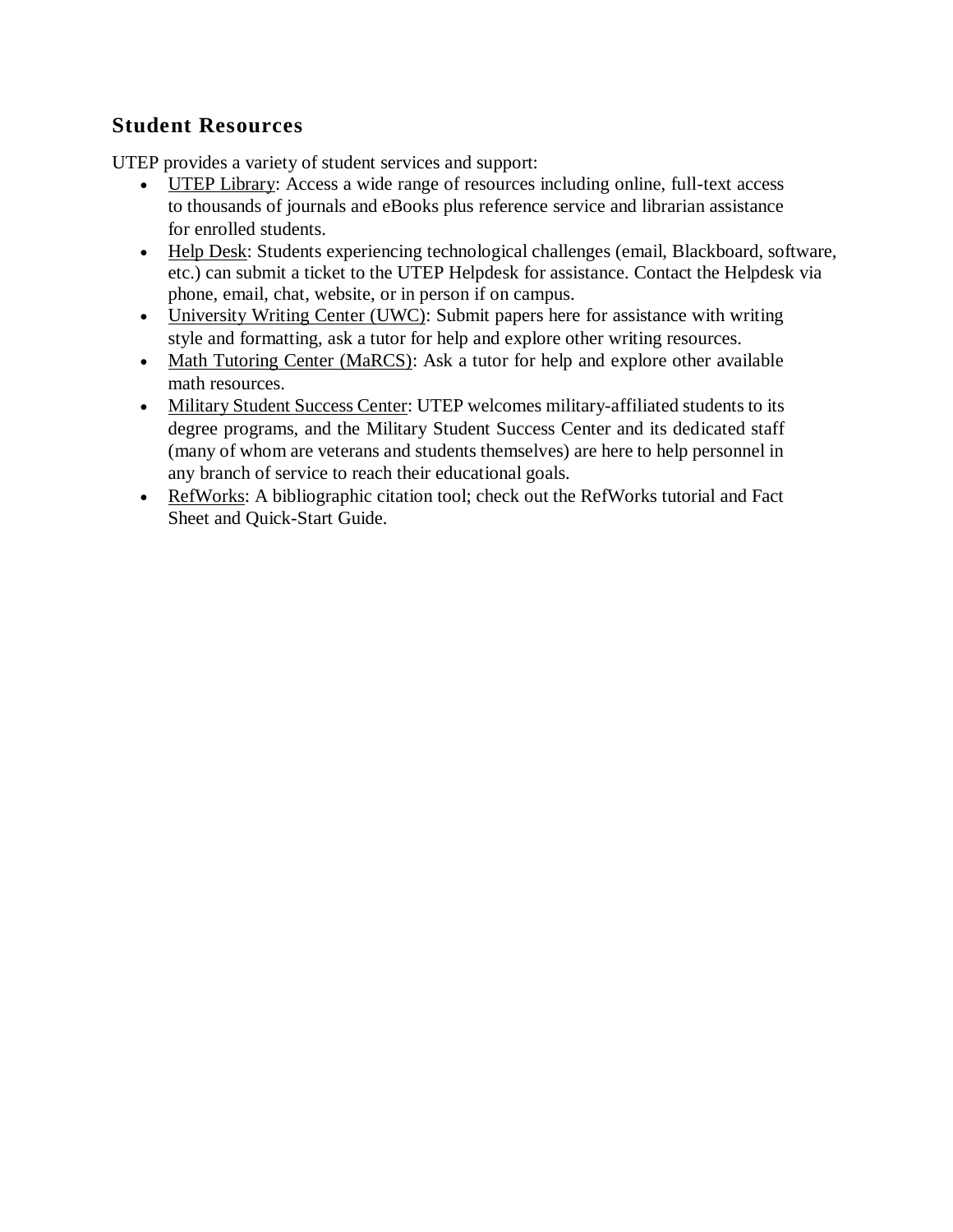## **Student Resources**

UTEP provides a variety of student services and support:

- [UTEP Library:](http://libraryweb.utep.edu/) Access a wide range of resources including online, full-text access to thousands of journals and eBooks plus reference service and librarian assistance for enrolled students.
- [Help Desk:](https://www.utep.edu/irp/technologysupport/) Students experiencing technological challenges (email, Blackboard, software, etc.) can submit a ticket to the UTEP Helpdesk for assistance. Contact the Helpdesk via phone, email, chat, website, or in person if on campus.
- [University Writing Center \(UWC\):](http://uwc.utep.edu/) Submit papers here for assistance with writing style and formatting, ask a tutor for help and explore other writing resources.
- [Math Tutoring Center \(MaRCS\):](http://math.utep.edu/marcs/) Ask a tutor for help and explore other available math resources.
- [Military Student Success Center:](file:///C:/Users/ciramontoya/Downloads/•%09https:/www.utep.edu/student-affairs/mssc) UTEP welcomes military-affiliated students to its degree programs, and the Military Student Success Center and its dedicated staff (many of whom are veterans and students themselves) are here to help personnel in any branch of service to reach their educational goals.
- [RefWorks:](http://www.refworks.com/refworks2/?groupcode=RWUTElPaso) A bibliographic citation tool; check out the RefWorks tutorial and Fact Sheet and Quick-Start Guide.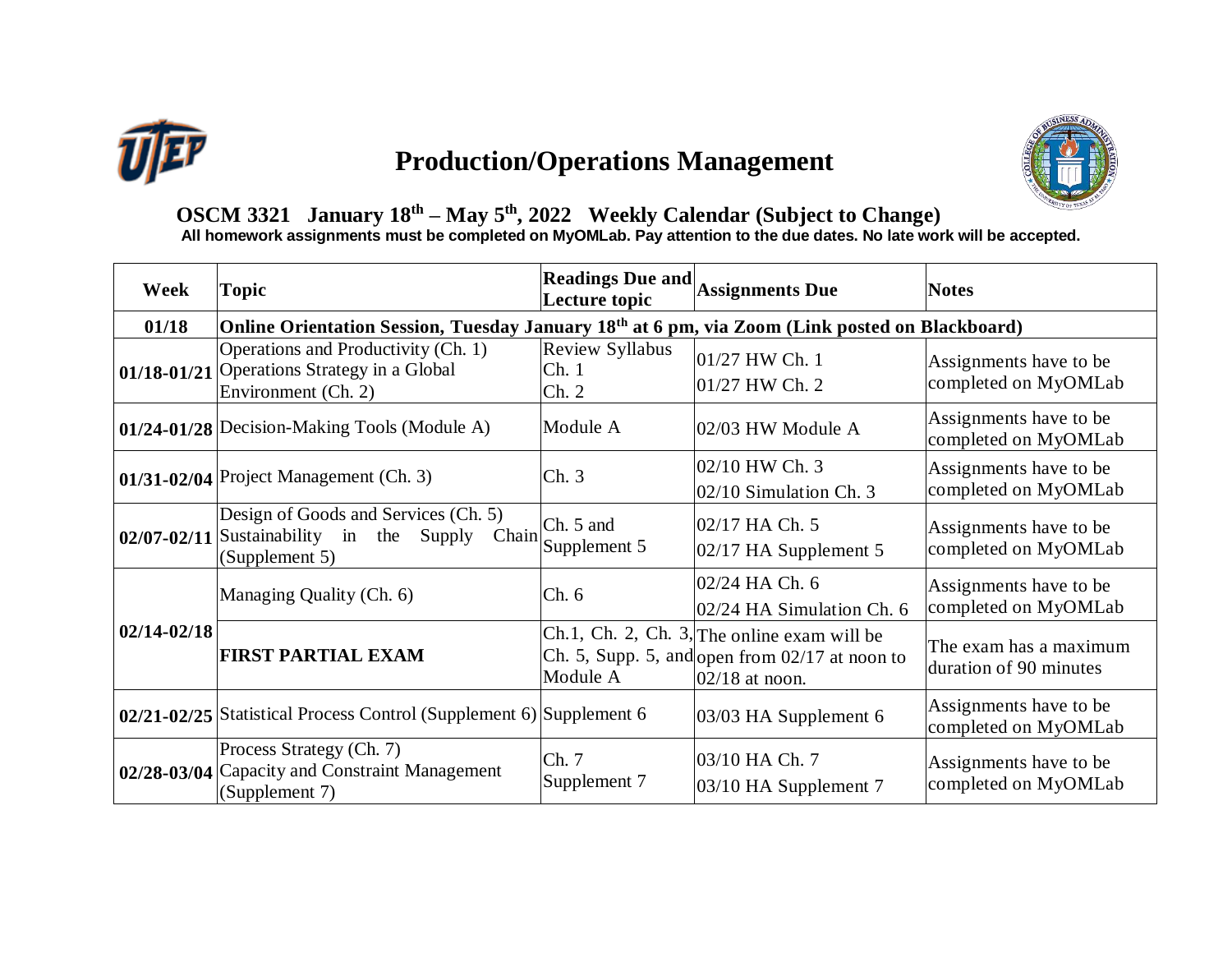

# **Production/Operations Management**



## **OSCM 3321 January 18th – May 5th , 2022 Weekly Calendar (Subject to Change)**

**All homework assignments must be completed on MyOMLab. Pay attention to the due dates. No late work will be accepted.**

| Week            | <b>Topic</b>                                                                                                       | Readings Due and Assignments Due<br>Lecture topic |                                                                                                                             | <b>Notes</b>                                     |  |  |  |
|-----------------|--------------------------------------------------------------------------------------------------------------------|---------------------------------------------------|-----------------------------------------------------------------------------------------------------------------------------|--------------------------------------------------|--|--|--|
| 01/18           | Online Orientation Session, Tuesday January 18 <sup>th</sup> at 6 pm, via Zoom (Link posted on Blackboard)         |                                                   |                                                                                                                             |                                                  |  |  |  |
|                 | Operations and Productivity (Ch. 1)<br>01/18-01/21 Operations Strategy in a Global<br>Environment (Ch. 2)          | Review Syllabus<br>Ch.1<br>Ch. 2                  | 01/27 HW Ch. 1<br>01/27 HW Ch. 2                                                                                            | Assignments have to be<br>completed on MyOMLab   |  |  |  |
|                 | 01/24-01/28 Decision-Making Tools (Module A)                                                                       | Module A                                          | 02/03 HW Module A                                                                                                           | Assignments have to be<br>completed on MyOMLab   |  |  |  |
|                 | $01/31-02/04$ Project Management (Ch. 3)                                                                           | Ch.3                                              | 02/10 HW Ch. 3<br>02/10 Simulation Ch. 3                                                                                    | Assignments have to be<br>completed on MyOMLab   |  |  |  |
|                 | Design of Goods and Services (Ch. 5)<br>Chain<br>$02/07 - 02/11$ Sustainability in<br>the Supply<br>(Supplement 5) | Ch. 5 and<br>Supplement 5                         | 02/17 HA Ch. 5<br>$02/17$ HA Supplement 5                                                                                   | Assignments have to be<br>completed on MyOMLab   |  |  |  |
| $02/14 - 02/18$ | Managing Quality (Ch. 6)                                                                                           | Ch. 6                                             | 02/24 HA Ch. 6<br>02/24 HA Simulation Ch. 6                                                                                 | Assignments have to be<br>completed on MyOMLab   |  |  |  |
|                 | <b>FIRST PARTIAL EXAM</b>                                                                                          | Module A                                          | $\vert$ Ch.1, Ch. 2, Ch. 3, The online exam will be<br>Ch. 5, Supp. 5, and open from $02/17$ at noon to<br>$02/18$ at noon. | The exam has a maximum<br>duration of 90 minutes |  |  |  |
|                 | 02/21-02/25 Statistical Process Control (Supplement 6) Supplement 6                                                |                                                   | 03/03 HA Supplement 6                                                                                                       | Assignments have to be<br>completed on MyOMLab   |  |  |  |
|                 | Process Strategy (Ch. 7)<br>02/28-03/04 Capacity and Constraint Management<br>(Supplement 7)                       | Ch. 7<br>Supplement 7                             | 03/10 HA Ch. 7<br>03/10 HA Supplement 7                                                                                     | Assignments have to be<br>completed on MyOMLab   |  |  |  |